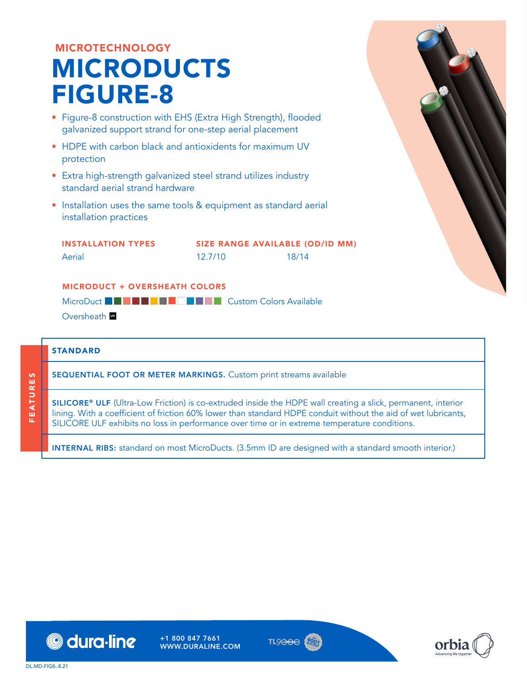# MICROTECHNOLOGY MICRODUCTS FIGURE-8

- Figure-8 construction with EHS (Extra High Strength), flooded galvanized support strand for one-step aerial placement
- HDPE with carbon black and antioxidents for maximum UV protection
- Extra high-strength galvanized steel strand utilizes industry standard aerial strand hardware
- Installation uses the same tools & equipment as standard aerial installation practices

INSTALLATION TYPES **Aerial** SIZE RANGE AVAILABLE (OD/ID MM) 12.7/10 18/14

### MICRODUCT + OVERSHEATH COLORS

MicroDuct **BGDSCMCUSTAW Custom Colors Available** 

Oversheath **W** 

## STANDARD

FEATURES

FEATURES

SEQUENTIAL FOOT OR METER MARKINGS. Custom print streams available

SILICORE® ULF (Ultra-Low Friction) is co-extruded inside the HDPE wall creating a slick, permanent, interior lining. With a coefficient of friction 60% lower than standard HDPE conduit without the aid of wet lubricants, SILICORE ULF exhibits no loss in performance over time or in extreme temperature conditions.

INTERNAL RIBS: standard on most MicroDucts. (3.5mm ID are designed with a standard smooth interior.)



+1 800 847 7661 WWW.DURALINE.COM